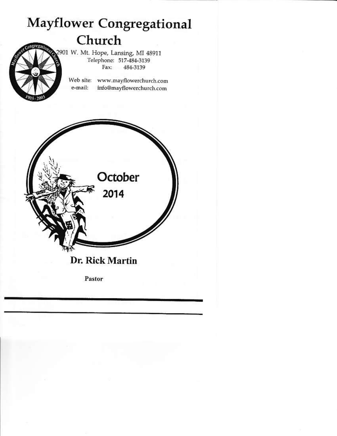# **Mayflower Congregational** Church

2901 W. Mt. Hope, Lansing, MI 48911 Telephone: 517-484-3139 Fax: 484-3139

Web site: www.mayflowerchurch.com e-mail: info@mayflowerchurch.com

October 2014 Dr. Rick Martin Pastor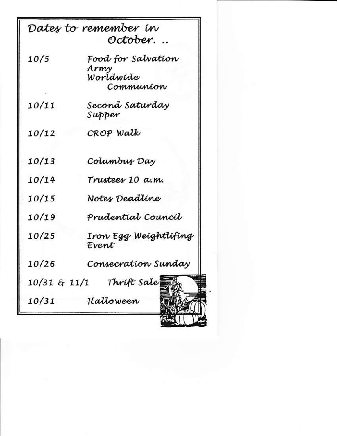|       | Dates to remember in                                 |
|-------|------------------------------------------------------|
|       | October.                                             |
| 10/5  | Food for Salvation<br>Army<br>Worldwide<br>Communion |
| 10/11 | Second Saturday<br>Supper                            |
| 10/12 | CROP Walk                                            |
| 10/13 | Columbus Day                                         |
| 10/14 | Trustees 10 a.m.                                     |
| 10/15 | Notes Deadline                                       |
| 10/19 | Prudential Council                                   |
| 10/25 | Iron Egg Weightlifing<br>Event                       |
| 10/26 | Consecration Sunday                                  |
|       | 10/31 & 11/1 Thrift Sale                             |
| 10/31 | Halloween                                            |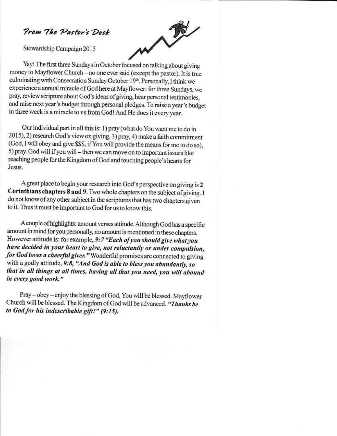## **Prom The Pastor's Desk**

Stewardship Campaign 2015

Yay! The first three Sundays in October focused on talking about giving money to Mayflower Church - no one ever said (except the pastor). It is true culminating with Consecration Sunday October 19th. Personally, I think we experience a annual miracle of God here at Mayflower: for three Sundays, we pray, review scripture about God's ideas of giving, hear personal testimonies, and raise next year's budget through personal pledges. To raise a year's budget in three week is a miracle to us from God! And He does it every year.

Our individual part in all this is: 1) pray (what do You want me to do in 2015), 2) research God's view on giving, 3) pray, 4) make a faith commitment (God, I will obey and give \$\$\$, if You will provide the means for me to do so). 5) pray. God will if you will - then we can move on to important issues like reaching people for the Kingdom of God and touching people's hearts for Jesus.

A great place to begin your research into God's perspective on giving is 2 Corinthians chapters 8 and 9. Two whole chapters on the subject of giving. I do not know of any other subject in the scriptures that has two chapters given to it. Thus it must be important to God for us to know this.

A couple of highlights: amount verses attitude. Although God has a specific amount in mind for you personally, no amount is mentioned in these chapters. However attitude is: for example, 9:7 "Each of you should give what you have decided in your heart to give, not reluctantly or under compulsion, for God loves a cheerful giver." Wonderful promises are connected to giving with a godly attitude, 9:8, "And God is able to bless you abundantly, so that in all things at all times, having all that you need, you will abound in every good work."

Pray - obey - enjoy the blessing of God. You will be blessed. Mayflower Church will be blessed. The Kingdom of God will be advanced. "Thanks be to God for his indescribable gift!" (9:15).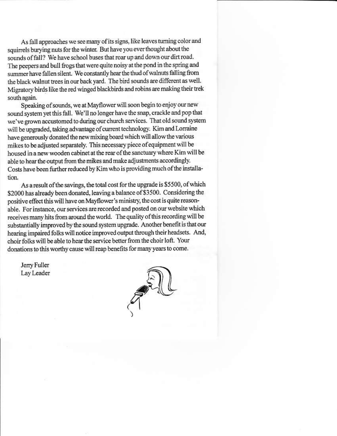As fall approaches we see many of its signs, like leaves turning color and squirrels burying nuts for the winter. But have you ever thought about the sounds of fall? We have school buses that roar up and down our dirt road. The peepers and bull frogs that were quite noisy at the pond in the spring and summer have fallen silent. We constantly hear the thud of walnuts falling from the black walnut trees in our back yard. The bird sounds are different as well. Migratory birds like the red winged blackbirds and robins are making their trek south again.

Speaking of sounds, we at Mayflower will soon begin to enjoy our new sound system yet this fall. We'll no longer have the snap, crackle and pop that we've grown accustomed to during our church services. That old sound system will be upgraded, taking advantage of current technology. Kim and Lorraine have generously donated the new mixing board which will allow the various mikes to be adjusted separately. This necessary piece of equipment will be housed in a new wooden cabinet at the rear of the sanctuary where Kim will be able to hear the output from the mikes and make adjustments accordingly. Costs have been further reduced by Kim who is providing much of the installation.

As a result of the savings, the total cost for the upgrade is \$5500, of which \$2000 has already been donated, leaving a balance of \$3500. Considering the positive effect this will have on Mayflower's ministry, the cost is quite reasonable. For instance, our services are recorded and posted on our website which receives many hits from around the world. The quality of this recording will be substantially improved by the sound system upgrade. Another benefit is that our hearing impaired folks will notice improved output through their headsets. And, choir folks will be able to hear the service better from the choir loft. Your donations to this worthy cause will reap benefits for many years to come.

Jerry Fuller Lay Leader

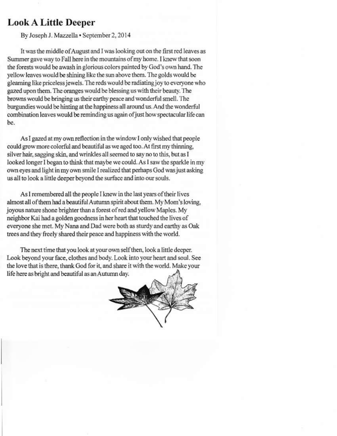## **Look A Little Deeper**

By Joseph J. Mazzella · September 2, 2014

It was the middle of August and I was looking out on the first red leaves as Summer gave way to Fall here in the mountains of my home. I knew that soon the forests would be awash in glorious colors painted by God's own hand. The yellow leaves would be shining like the sun above them. The golds would be gleaming like priceless jewels. The reds would be radiating joy to everyone who gazed upon them. The oranges would be blessing us with their beauty. The browns would be bringing us their earthy peace and wonderful smell. The burgundies would be hinting at the happiness all around us. And the wonderful combination leaves would be reminding us again of just how spectacular life can be.

As I gazed at my own reflection in the window I only wished that people could grow more colorful and beautiful as we aged too. At first my thinning, silver hair, sagging skin, and wrinkles all seemed to say no to this, but as I looked longer I began to think that maybe we could. As I saw the sparkle in my own eyes and light in my own smile I realized that perhaps God was just asking us all to look a little deeper beyond the surface and into our souls.

As I remembered all the people I knew in the last years of their lives almost all of them had a beautiful Autumn spirit about them. My Mom's loving, joyous nature shone brighter than a forest of red and yellow Maples. My neighbor Kai had a golden goodness in her heart that touched the lives of everyone she met. My Nana and Dad were both as sturdy and earthy as Oak trees and they freely shared their peace and happiness with the world.

The next time that you look at your own self then, look a little deeper. Look beyond your face, clothes and body. Look into your heart and soul. See the love that is there, thank God for it, and share it with the world. Make your life here as bright and beautiful as an Autumn day.

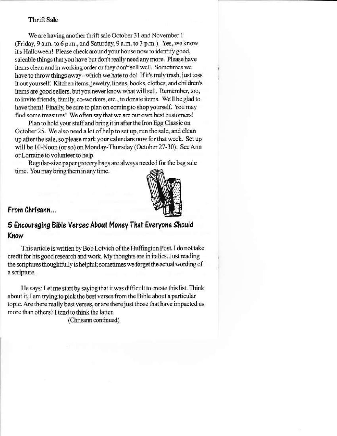#### **Thrift Sale**

We are having another thrift sale October 31 and November 1 (Friday, 9 a.m. to 6 p.m., and Saturday, 9 a.m. to 3 p.m.). Yes, we know it's Halloween! Please check around your house now to identify good, saleable things that you have but don't really need any more. Please have items clean and in working order or they don't sell well. Sometimes we have to throw things away--which we hate to do! If it's truly trash, just toss it out yourself. Kitchen items, jewelry, linens, books, clothes, and children's items are good sellers, but you never know what will sell. Remember, too, to invite friends, family, co-workers, etc., to donate items. We'll be glad to have them! Finally, be sure to plan on coming to shop yourself. You may find some treasures! We often say that we are our own best customers!

Plan to hold your stuff and bring it in after the Iron Egg Classic on October 25. We also need a lot of help to set up, run the sale, and clean up after the sale, so please mark your calendars now for that week. Set up will be 10-Noon (or so) on Monday-Thursday (October 27-30). See Ann or Lorraine to volunteer to help.

Regular-size paper grocery bags are always needed for the bag sale time. You may bring them in any time.



### From Chrisann...

## 5 Encouraging Bible Verses About Money That Everyone Should Know

This article is written by Bob Lotvich of the Huffington Post. I do not take credit for his good research and work. My thoughts are in italics. Just reading the scriptures thoughtfully is helpful; sometimes we forget the actual wording of a scripture.

He says: Let me start by saying that it was difficult to create this list. Think about it, I am trying to pick the best verses from the Bible about a particular topic. Are there really best verses, or are there just those that have impacted us more than others? I tend to think the latter.

(Chrisann continued)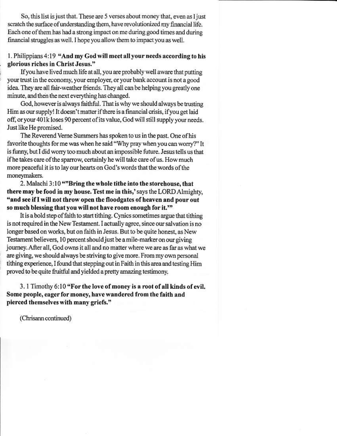So, this list is just that. These are 5 verses about money that, even as I just scratch the surface of understanding them, have revolutionized my financial life. Each one of them has had a strong impact on me during good times and during financial struggles as well. I hope you allow them to impact you as well.

#### 1. Philippians 4:19 "And my God will meet all your needs according to his glorious riches in Christ Jesus."

If you have lived much life at all, you are probably well aware that putting your trust in the economy, your employer, or your bank account is not a good idea. They are all fair-weather friends. They all can be helping you greatly one minute, and then the next everything has changed.

God, however is always faithful. That is why we should always be trusting Him as our supply! It doesn't matter if there is a financial crisis, if you get laid off, or your 401k loses 90 percent of its value, God will still supply your needs. Just like He promised.

The Reverend Verne Summers has spoken to us in the past. One of his favorite thoughts for me was when he said "Why pray when you can worry?" It is funny, but I did worry too much about an impossible future. Jesus tells us that if he takes care of the sparrow, certainly he will take care of us. How much more peaceful it is to lay our hearts on God's words that the words of the moneymakers.

2. Malachi 3:10 ""Bring the whole tithe into the storehouse, that there may be food in my house. Test me in this,' says the LORD Almighty, "and see if I will not throw open the floodgates of heaven and pour out so much blessing that you will not have room enough for it.""

It is a bold step of faith to start tithing. Cynics sometimes argue that tithing is not required in the New Testament. I actually agree, since our salvation is no longer based on works, but on faith in Jesus. But to be quite honest, as New Testament believers, 10 percent should just be a mile-marker on our giving journey. After all, God owns it all and no matter where we are as far as what we are giving, we should always be striving to give more. From my own personal tithing experience, I found that stepping out in Faith in this area and testing Him proved to be quite fruitful and yielded a pretty amazing testimony.

3. 1 Timothy 6:10 "For the love of money is a root of all kinds of evil. Some people, eager for money, have wandered from the faith and pierced themselves with many griefs."

(Chrisann continued)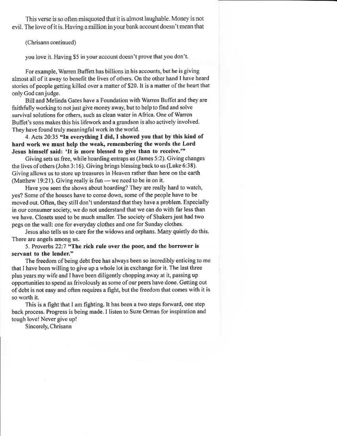This verse is so often misquoted that it is almost laughable. Money is not evil. The love of it is, Having a million in your bank account doesn't mean that

(Chrisann continued)

you love it. Having \$5 in your account doesn't prove that you don't.

For example, Warren Buffett has billions in his accounts, but he is giving almost all of it away to benefit the lives of others. On the other hand I have heard stories of people getting killed over a matter of \$20. It is a matter of the heart that only God can judge.

Bill and Melinda Gates have a Foundation with Warren Buffet and they are faithfully working to not just give money away, but to help to find and solve survival solutions for others, such as clean water in Africa. One of Warren Buffet's sons makes this his lifework and a grandson is also actively involved. They have found truly meaningful work in the world.

4. Acts 20:35 "In everything I did, I showed you that by this kind of hard work we must help the weak, remembering the words the Lord Jesus himself said: 'It is more blessed to give than to receive.'"

Giving sets us free, while hoarding entraps us (James 5:2). Giving changes the lives of others (John 3:16). Giving brings blessing back to us (Luke 6:38). Giving allows us to store up treasures in Heaven rather than here on the earth (Matthew 19:21). Giving really is fun — we need to be in on it.

Have you seen the shows about hoarding? They are really hard to watch, yes? Some of the houses have to come down, some of the people have to be moved out. Often, they still don't understand that they have a problem. Especially in our consumer society, we do not understand that we can do with far less than we have. Closets used to be much smaller. The society of Shakers just had two pegs on the wall: one for everyday clothes and one for Sunday clothes.

Jesus also tells us to care for the widows and orphans. Many quietly do this. There are angels among us.

5. Proverbs 22:7 "The rich rule over the poor, and the borrower is servant to the lender."

The freedom of being debt free has always been so incredibly enticing to me that I have been willing to give up a whole lot in exchange for it. The last three plus years my wife and I have been diligently chopping away at it, passing up opportunities to spend as frivolously as some of our peers have done. Getting out of debt is not easy and often requires a fight, but the freedom that comes with it is so worth it.

This is a fight that I am fighting. It has been a two steps forward, one step back process. Progress is being made. I listen to Suze Orman for inspiration and tough love! Never give up!

Sincerely, Chrisann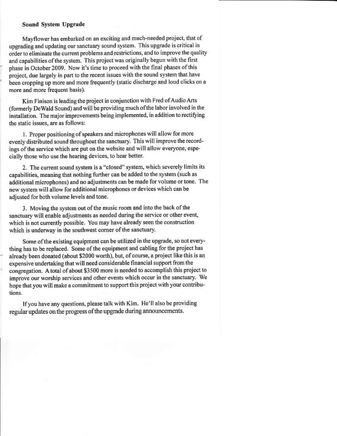#### Sound System Upgrade

Mayflower has embarked on an exciting and much-needed project, that of upgrading and updating our sanctuary sound system. This upgrade is critical in order to eliminate the current problems and restrictions, and to improve the quality and capabilities of the system. This project was originally begun with the first phase in October 2009. Now it's time to proceed with the final phases of this project, due largely in part to the recent issues with the sound system that have been cropping up more and more frequently (static discharge and loud clicks on a more and more frequent basis).

Kim Finison is leading the project in conjunction with Fred of Audio Arts (formerly DeWald Sound) and will be providing much of the labor involved in the installation. The major improvements being implemented, in addition to rectifying the static issues, are as follows:

1. Proper positioning of speakers and microphones will allow for more evenly distributed sound throughout the sanctuary. This will improve the recordings of the service which are put on the website and will allow everyone, especially those who use the hearing devices, to hear better.

2. The current sound system is a "closed" system, which severely limits its capabilities, meaning that nothing further can be added to the system (such as additional microphones) and no adjustments can be made for volume or tone. The new system will allow for additional microphones or devices which can be adjusted for both volume levels and tone.

3. Moving the system out of the music room and into the back of the sanctuary will enable adjustments as needed during the service or other event, which is not currently possible. You may have already seen the construction which is underway in the southwest corner of the sanctuary.

Some of the existing equipment can be utilized in the upgrade, so not everything has to be replaced. Some of the equipment and cabling for the project has already been donated (about \$2000 worth), but, of course, a project like this is an expensive undertaking that will need considerable financial support from the congregation. A total of about \$3500 more is needed to accomplish this project to improve our worship services and other events which occur in the sanctuary. We hope that you will make a commitment to support this project with your contributions.

If you have any questions, please talk with Kim. He'll also be providing regular updates on the progress of the upgrade during announcements.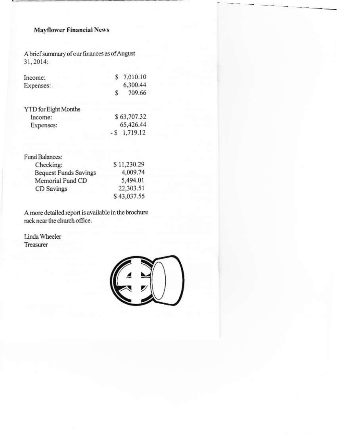#### **Mayflower Financial News**

A brief summary of our finances as of August 31, 2014:

| 7,010.10 |
|----------|
| 6.300.44 |
| 709.66   |
|          |

YTD for Eight Months \$63,707.32 Income: 65,426.44 Expenses:  $-$  \$ 1,719.12

| Fund Balances:               |             |
|------------------------------|-------------|
| Checking:                    | \$11,230.29 |
| <b>Bequest Funds Savings</b> | 4.009.74    |
| Memorial Fund CD             | 5,494.01    |
| CD Savings                   | 22,303.51   |
|                              | \$43,037.55 |

A more detailed report is available in the brochure rack near the church office.

Linda Wheeler Treasurer